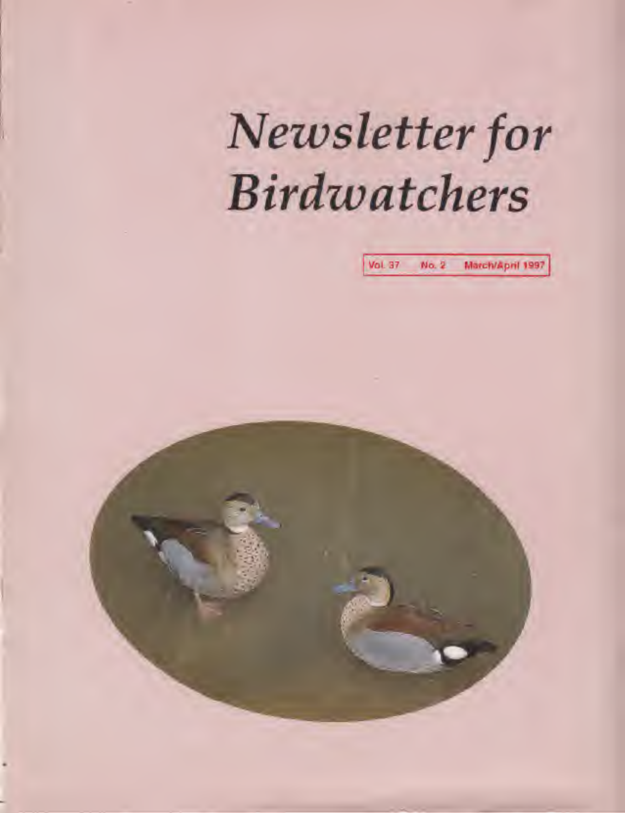# Newsletter for Birdwatchers

Vol 37 No. 2 March'April 1997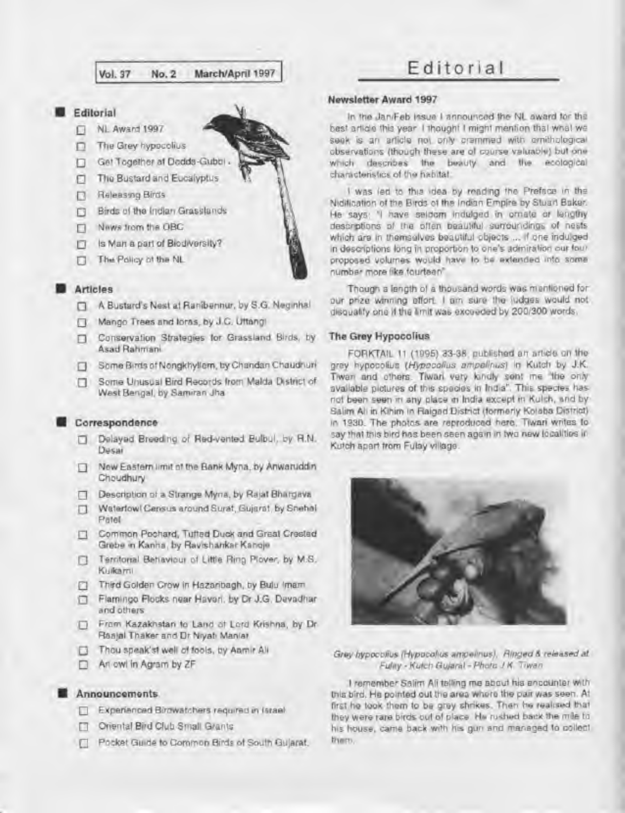#### **Editorial**

- (J Nl Award <sup>1997</sup>
- D. The Grey hypocolius
- Get Together at Dodds-Gubb
- п The Bustard and Eucalyptus
- **Releasing Birds**
- Q Birds o1 lite Indian Grasslands
- News trom the OBC
- $\Box$  Is Man a part of Biodiversity?
- Q Th» Policy oi the Nl

#### **Articles**

- H <sup>A</sup> Bustard's Nest al Rsnibennur. by S.G Negmhal
- $\mathbb{R}$ Mango Trees and lores, by J.C. Uttangi
- $\Box$  Conservation Strategies for Grassland Birds, by Asad Rahmam
- Some Birds of Nongkhyllem, by Chandan Chaudhuri
- Q Some Unusual Bird Records from Malda District ot West Bengal, by Sanvran Jha

#### Correspondence

- Delayed Breeding of Bed-vented Bulbul. by R.N. п. Desai
- New Eastern limit of the Bank Myna, by Anwaruddin Π Choudhury
- n Description ol <sup>a</sup> Strange Myna. by Raiat Bhargava
- Waterfowl Census around Surat, Gujarat, by Snehal  $\Box$ Paiel
- $\Box$  Common Pochard, Tufted Duck and Great Crested Grebe m Kanha. by Ravishankar Kanoje
- **Q** Territorial Behaviour of Little Ring Plover, by M.S. Kulkami
- Third Golden Crow in Hazahbagh. by Bulu Imam  $\Box$
- D Flamingo Rocks near Haven, by Dr J.G. Devadhar and others
- Q From Kazakhstan 1o Land ot Lord Krishna, by Dr Raajal Thaker and Dr Nryati Maniar
- **D** Thou speak'st well of fools, by Aamir Ali
- D. An owl in Agram by ZF

#### Announcements.

- Experienced Birdwatchers required in Israel
- **n Oriental Bird Club Small Grants**
- **Q Pocket Guide to Common Birds of South Gujarat.**

# Vol.37 Ho. <sup>2</sup> March/April <sup>1997</sup> Editorial

#### Newsletter Award 1997

In the Jani'Feb issue <sup>l</sup> announced Ihe NL award lor the best article this year <sup>I</sup> though: <sup>I</sup> might mention that what we seek is an article not only crammed with ornithological observations (though these are of course valuable) but one which describes the beauty and the ecological characteristics ol Ihe habitat

I was led to this idea by reading the Preface in the Niditication of the Birds of the Indian Empire by Stuart Baker. He says: "I have seldom indulged in omate or lengthy descnpfons of ihe oflen beautiful surroundings ol nests which are in themselves beautiful objects ... If one indulged in descriptions long in proportion to one's admiration our lour proposed volumes would hava lo be extended into some number more like fourteen".

Though a length of <sup>a</sup> thousand words was mentioned for our prize winning effort. I am sure the judges would not disqualify one if the limit was exceeded by 200/300 words.

#### **The Grey Hypocolius**

FORKTAIL <sup>11</sup> (199S) 33-36 published an article on the grey hypocolius (Hypocolius ampellnus) in Kutch by J.K. Twar and others. Tiwari very kindly sent me "the only" available pictures of this species in India". This species has not been seen in any place ai India except in Kutch, and by Salim All in Kihim in Raigad District (formerly Kolaba District) in 1930. The photos are reproduced here. Tiwari writes to say that this bird has been seen again in two new localities in Kutch apart from Fulay village.



Grey hypocolius (Hypocolius ampelinus). Ringed & released at Fuliny - Kulch Gujaral - Photo J.K. Tiwan

<sup>I</sup> remember Sotim All telling me about his encounter with this bird. He pointed out the area whore the pair was seen. At first he took them to be grey shrikes. Then he realised that they were rare birds out of place. He rushed back the mile to his house, came back with his gun and managed to collect them.

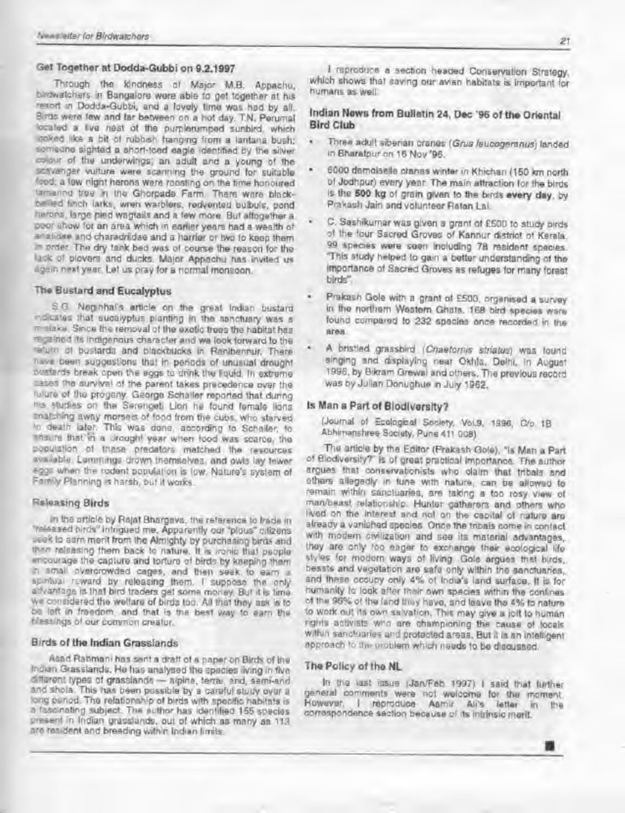#### Get Together at Dodda-Gubbi on 8.2.1997

Through the kindness of Major MB. Appachu, betwatchers in Bangalore were able to get together at his resort m Dodda-Gubbi. and <sup>a</sup> lovely lime was had by all. Birds were few and tar between on <sup>a</sup> hot day. T.N. Pennnal located a kve nest oi the purplerumped sunbird. which looked like a bit ol rubbsh hanging from a lantana bush; someone sighted a short-toed eagle identified by the silver colour of the underwings; an adult and a young of the scavanger vulture were scanning the ground for suitable food; a lew night herons were roosting on the time honoured tamannd tree in the Ghorpade Farm. There were blackbellied finch larks, wren warblers, redvented bubuls. pond herons, large pled wagtails and a few more But altogether a poor show for an area which in earlier years had a wealth of anebdae and charadriidae and a harrier or two to keep them « order The dry tank bed was of course the reason for the lack of plovers and ducks. Major Appachu has invited us agam next year Lei us pray for a normal monsoon.

#### The Bustard and Eucalyptus

S G Neginhal's article on the great Indian bustard •ndkates thai eucalyptus planting in the sanctuary was <sup>a</sup>  $\pi$  slake. Since the removal of the exotic trees the habitat has regained its indgenous character and we look forward to the return ol bustards and blackbucks In Ranlbennur. There nave been suggestions thai In periods of unusual drought bustards break open the eggs to dhnk the liquid. In extreme mates the survival of the parent takes precedence over the future of the progeny. George Schaller reported that during his studies on the Serengeti Lion he found female lions thalshing away morsels of food from the cubs, who starved •o death later. This was dona, according to Schafler. to ensure that 'in a orought year wnen food was scarce, the population ot mesa predators matched the resources available. Lemmings drown themselves, and owls lay fewer eggs when the rodent population is low. Nature's system of Family Planning is harsh, but it works.

#### Releasing Birds

In the article by Rajat Bhargava, the reference to trade in "released birds" intrigued me. Apparently our "plous" citizens seek to earn merit from the Almighty by purchasing birds and then releasing them back to nature. It is ironic that people encourage the capture and torture ot birds by keeping them in small overcrowded cages, and then seek to earn <sup>a</sup> spiritual reward by releasing them. I suppose the only advantage is that bird traders get some money. But it is time we considered the welfare ol birds too. Ml that they ask is to be left in freedom, and that is the best way to earn the hlessings of our common creator.

#### Birds of the Indian Grasslands

Asad Rahmani has sent a draft ot a paper on Birds ol the Indian Grasslands. He has analysed the species rvmg in Ave different types of grasslands - alpine, terral, and, semi-and, end sbola This has been possible by <sup>a</sup> careful study ovet <sup>a</sup> long panod. The relationship of birds with specific habitats is a fascinating subject. The author has identified 155 species present in Indian grasslands, oul of which as many as 113 are resident and breading within Indian limits.

I reproduce a section headed Conservation Strategy, which shows that saving our avian habitats is important for humans as well

### Indian News from Bulletin 24, Dec '96 of the Oriental Bird Club

- Three adult siberian cranes (Grus /eucogeranus) landed in Bharatpur on 16 Nov '96.
- 6000 demoiselle cranes wmler in Khiehen (150 km north of Jodhpur) every year The main attraction for the birds is the 500 kg ol grain given to the birds every day. by Prakash Jain and volunteer Ratan Lai.
- C. Sashikumar was given <sup>a</sup> grant ot CS00 to study birds ol the tour Sacred Groves of Kannur dtstnot of Kerala. 99 species were seen including 78 resident species. This study helped to gain <sup>a</sup> better understanding ol the importance of Sacred Groves as refuges lor many forest birds"
- Prakash Gole with a grant ol £500, organised a survey in the northern Western Ghats. 168 bird species were tound compared to 232 species once recorded in the area
- A bristled grassbird (Chaetornis striatus) was lound singing and displaying near Okhla. Delhi, in August 1996. by Bikram Grewal and others. The previous record was by Julian Donughue n Jury 1962.

### Is Man a Part of Biodiversity?

(Journal of Ecological Society, Vol.9. 1996, C/o 1B Abhimanshree Society, Pune 411 008)

The article by the Editor (Prakash Gole). "Is Man <sup>a</sup> Part of Biodiversity?" is of great practical Importance. The author argues that conservationists who daim that tnbah and others allegedly in tune with nature, can be allowed to remain within sanctuaries, are taking a too rosy view ol man/beast relationship. Hunter gatherers and others who lived on the Interest and not on the capital ot nature are already a vanished species Ones the tubals come in contact with modern civilization and see its material advantages, they are only too eager to exenange their ecological lite styles for modern ways of living. Gole argues that birds, beasts and vegetation are safe only within the sanctuaries, and these occupy only 4% ol India's land surface. <sup>H</sup> is lor humanity to look after their own species withn the confines of the 96% of the land they have, and leave the 4% to nature lo work out its own salvation. This may give <sup>a</sup> jolt to human rights activists who are championing the cause ol locals within sanctuaries and protected areas. But it is an intelligent approach to the problem which needs to be discussed.

#### The Policy of the NL

In the last issue (Jan/Fab 1997) <sup>I</sup> said that further general comments were not welcome for the moment.<br>However, I reproduce Asmy Ali's letter in the I reproduce Aamir Ali's letter in the correspondence section because of its intrinsic merit.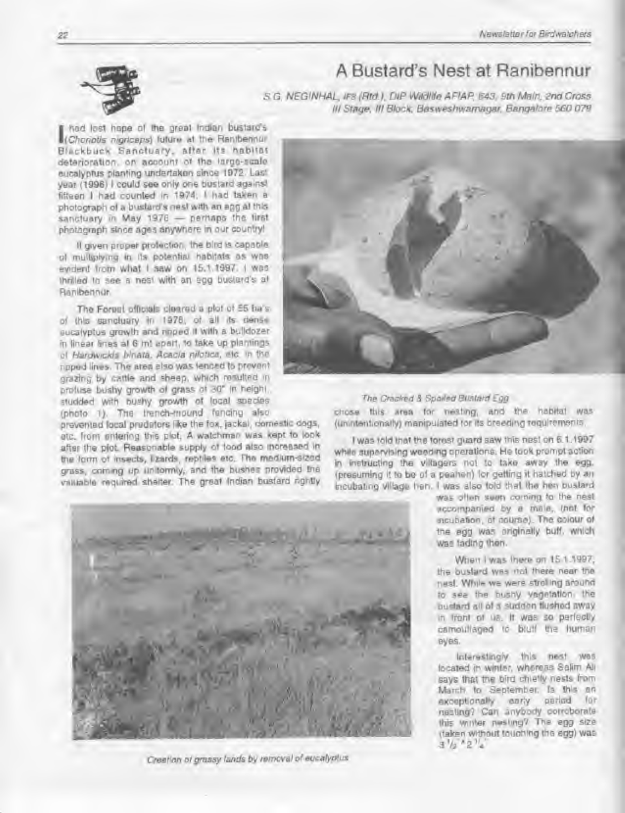## A Bustard's Nest at Ranibennur

S G. NEGINHAL, IFS (Rtd.), DIP Wikille AFIAP, 643, 9th Main, 2nd Cross III Stage. Ill Block. Basweshwamagar. Bangalore 560 079

had lost hope of the great indian bustard's (Chonotis rogriceps) luture at the Ranibennur Blackbuck Sanctuary, alter Its habitat deterioration, on account of the large-scale eucalyptus planting undertaken since 1972. Last year (1996) <sup>I</sup> could see only one bustard against fifteen <sup>I</sup> had counted in 1974. <sup>I</sup> had taken a photograph ol a bustard's neat with an egg at this sanctuary in May 1976 - perhaps the first photograph since ages anywhere in our country!

H given proper protection, the bird is capable ol multiplying in its potential habitats as was evident from what I saw on 15.1.1997. I was thrilled to see s nasi with an egg bustard's at Ranibennur.

The Forbst officials cleared a plot of 55 ha's of this sanctuary in 1978, of all its dense eucatyptus growth and npped it with a bulldozer in linear fines at 6 ml apart, to take up plantings ot Hardwickia binata. Acacia nilotica, etc. in the npped lines. The area also was fenced to prevent grazing by cattle and sheep, which resulted in proluse bushy growth ol grass ol 30' In height, studded with bushy growih ol local species (photo 1). The trench-mound fencing also

prevented local predators like the ton. jackal, domestic dogs, etc. from entering this plot. A watchman was Kept to look after the plot. Reasonable supply of tood also increased in the form ot insects, fczards. reptiles etc. The medium-sized grass, commg up uniformly, and the bushes provided Hie valuable required shelter. The great Indian bustard rightly



#### The Cracked & Sported Busined Egg

chose this area lor nesting, and the habitat was (unintentionally) manipulated tar its breeding requirements.

<sup>I</sup> was told that the forest guard saw this nest on 6.1 .1997 while supervising weeding operations. He took prompt action in instructing the villagers not to take away the egg. (presuming it to be of a peahen) lot getting it hatched by an incubating village hen. <sup>I</sup> was also told that the hen bustard



Creation of grassy lands by removal of eucalyplus

was often seen coming to the nest. accompanied by a male, (not for ncubanon. ol course) The colour of the egg was originally buff, which was lading then.

When I was there on 15.1.1997, the bustard was not there near the nest. While we were strolling around to see the bushy vegetation, the bustard all ol a sudden flushed away in front ot us. It was so perfectly camouflaged to bluff the human eyes.

Interestingly this nest was located in winter, whereas Salim Ali says that the bird chiefly nests from March to September. Is this an<br>exceptionally early parted for exceptionally early nesting? Can anybody corroborate this winter nesting? The egg size itaken without touching the egg) was  $3\frac{1}{2}$ <sup>2</sup>/<sub>2</sub>

 $22$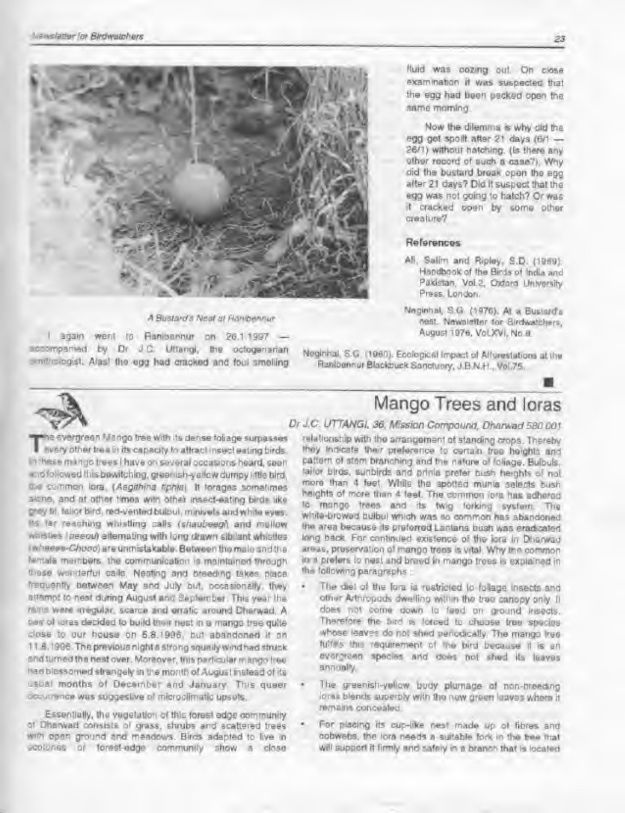

#### A Bustard's Neat at Flanberinur

again went to Ranibennur on 26.1.1997 accompanied by Df J C. Uttangi. Bis octogenarian simithologist. Alasi the ugg had cracked and foul smelling

fluid was oozmg out. On close examination if was suspected that the egg had been pecked open the same morning

Now the dilemma e why old Ihe egg get spoilt after 21 days (6/1 -26\*1) without hatching. (Is there any other record of such a case^i Why did the bustard break open the egg after 21 days? Did it suspect ihaf the egg was not going to hatch? Or was it cracked open by some other creature?

#### References

- Ali. Salim and Ripley, S.D. (1969). Handbook ol the Birds of India and Pakistan. Vol.2. Oxford University Press, London.
- Neginhal, S.Q (1976). At a Bustards nest. Newsletter tor Birdwatchers. August 1976. VoLXVI. No 8.

Neginhal, S.G. (I960). Ecological Impact ol Attestations at the Panibennur Blackbuck Sanctuary. J.B.N.H , Vol.7S.



 $T^n$ W<br>The svergreen Mango tree with Its dense foliage surpasses every otner tree in its capacity to attract insect ealmg birds. In these mango trees <sup>I</sup> have on several occasions hoard, soon and followed this bewitching, green ish-yellow dumpy little bird. the common lora. (Aegithina fiphia) It forages sometimes alone, and at other times with other insect-eating birds like grey Ot. tailor bird, red-ventad bulbul. mmivets andwhite eyes. tar reaching whistling calls (s/iauDeeor) and mellow whistles (peeou) alternating with long drawn sib. ant whistles<br>I whewer-Chooo) are unmistakable. Between the male and the (•male members, the communication is maintained through these wonderful calls. Nesting and breeding takes place. frequently between May and July but, occasionally, Ihey attempt to nest during August and September. This year the rains were ^regular, scarce and erratic around Dharwad. A pee of ioras decided to buikl their nest in a mango tree quite close to our house on 5.8.1996 but abandoned it on 11.8.1996. The previous night a strong squally wind had struck. and turned the nest aver. Moreover, this particular mango Iree had blossomed slrangety m the month of August ristead of 'Is usual months of December and January. This queer occurrence was suggestive of microclimatic upsets.

Essentially, the vegetation of this forest edge community ot Dharwad consists of grass, shrubs and scattered trees with open ground and meadows. Birds adapted to live in ecotones or forest-edge community show a close

# Mango Trees and Ioras

### Dr J.C. UTTANGI, 36. Mission Compound, Dharwad 580 001

relationship with the arrangement of standing crops. Thereby they indicate their preference to certain tree heights and pattern of stem branching and the nature of 'oliage. Bulbuls. tailor birds, sunbirds and prinla prefer bush heights of not. more than <sup>4</sup> feet. While the spotted munia selects bush heights of more than 4 feel The common iora has adhered to mango trees and its twig forking system. The white-browed bulbul which was so common has abandoned the area because its preferred Lantana bush was eradicated long back For continued existence of the iora in Dharwad areas, preservation of mango trees is vital. Why the common io-s prefers to nest and breed In mango trees is explained In the following paragraphs :

- The diet of the fors is restricted to follage insects and oth»r Arthropods dwelling withm tlie tree canopy only. It does not come down to feed on ground insects. Therefore the bird is forced to choose tree species whose leaves do not shed penodically. The mango tree tuifills this requirement of the bird because it is an evergreen species and does not shed its leaves annually.
- The greenish-yellow body plumage of non-breeding ioras blends superbly with the new green loaves where it remains concealed.
- For placing its cup-like nest made up of fibres and cobwebs, the iora needs a suitable lork in the tree that will support it firmly and safely in a branch that is located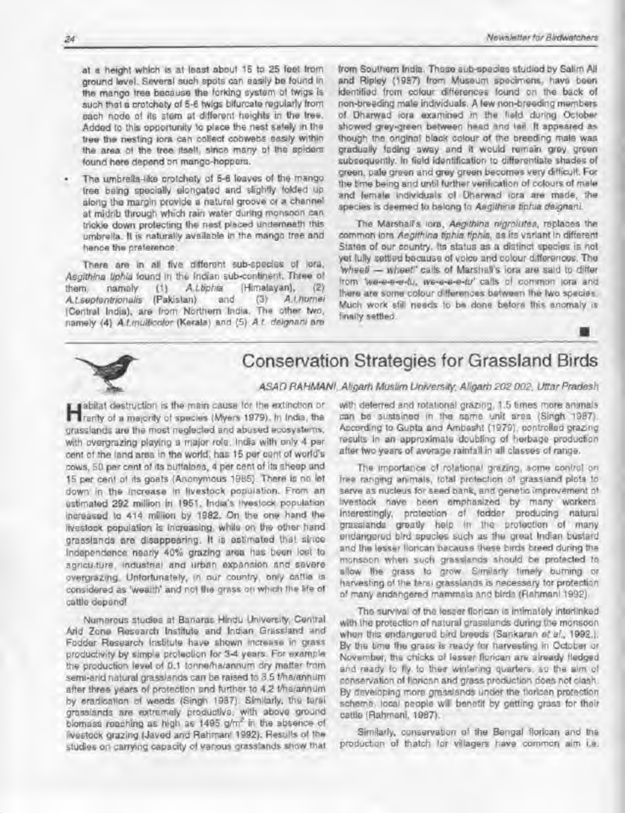at a height which is at least about 15 to 25 feet from ground level. Several such spots can easily be found in the mango tree because the forking system of twigs is such that a crotchety of 5-6 twigs bifurcate regularly from each node of its stem at different heights in Ihe tree. Added to this opportunity to place the nest safely in the tree the nestng iora can collect cobwebs easily within the area of the tree itself, since many of the spiders found here depend on mango-hoppers.

The umbrella-like crotchety of 5-6 leaves of the mango tree being specially elongated and slightly folded up along the margin provide a natural groove or a channel at midrib through which rain water dunng monsoon can trickle down protecting the nasi placed underneath this umbrella. It is naturally available in the mango tree and hence the preference

There are in al five diflerent sub-species ol lora. Aegithina liphia found in the Indian sub-continent. Three of them. namely (1) A.t.biphia (Himalayan), (2)<br>A.t.septentrionalis (Pakistan) and (3) A.t.humei A.t.sepfentrionalis (Pakistan) and (Central India), are from Northern India. The other two. namely (4) A.Lmulficalor (Kerala) and (5) A.L. deignant are from Southern India. These sub-species studied by Sahm All and Ripley (1987) from Museum specimens, have been identified from colour differences found on the back ol non-breeding male individuals. A few non-breeding members of Dharwad iora examined in Ihe field during October showed grey-green between head and tail. It appeared as though the original black colour of the breeding male was gradually fading sway and it would remain grey green subsequently. In field identification to differentiate shades ol green, pale green and grey green becomes very difficult. For the time being and until lurther verification ol colours ol male and female individuals ol Oharwad iora are made, the species is deemed to belong to Aegithina tiphia deignani.

The Marshall's iora, Aegithina nigrolistea, replaces the common lora Aegithina tiphia tiphia, as its variant in different States ol our country. Its status as a distinct species is not yet fully sotted because ol voice and colour differences. The wheet - wheet" calls of Marshall's iora are said to differ from 'we-e-e-e-fu, we-e-e-e-fu' calls of common iora and there are some colour differences between the two species. Much work still needs to be done before this anomaly is finally settled.



# Conservation Strategies for Grassland Birds

ASAD RAHMANI, Aligarh Muslim University, Aligarh 202 002, Uttar Pradesh

sabitat destruction is the main causa for the extinction or ranty of a maiorly ol species (Myers 1979). In India, the grasslands are the most neglected and abused ecosystems, with overgrazing playing a major role. Inda with only 4 per cent of the land area in the world, has 15 per cent of world's dows, SO per cent of its buffaloes, 4 per cent ol its sheep and 15 per cent of its goats (Anonymous 1985}. There Is no let down in the increase in livestock population. From an estimated 292 million in 1951. India's livestock population increased lo 414 milion by 1982. On the one hand the livestock population is increasing, while on the other hand grasslands are disappearing. It is estimated that since Independence nearly 40% grazing area has been lost to agriculture, industrial and urban expansion and severe overgrazing. Unfortunately, in our country, only cattle is considered as 'wealth' and not the grass on which the life ol cattle depend!

Numerous studies at Banaras Hindu University, Central Arid Zone Research Institute and Indian Grassland and Fodder Research Institute have shown increase in grass productivity by simple protection for 3-4 years. For example the production level ol 0.1 lonnema/annum dry matter from semi-arid natural grasslands can be raised to 3,5 t/ha/annum after three years of protection and further to 4.2 tma/annum by eradication ol weeds (Singh 1987). Similarly, the terai grasslands are extremely productive, with above ground biomass reaching as high as 1495 g/m\* in the absence ol livestock grazing (Javed and Rahmam 1992). Results of the studies on carrying capacity ol various grasslands show that with deterred and rotational grazing. 1.5 times more animals can be sustained in the same unit area (Singh 1987). According lo Gupta and Ambasht (1979). controlled grazing results in an approximate doubling ol herbage production after two years of average rainfall in all classes of range.

The importance ot rotational grazing, some control on free ranging animals, total protection ol grassland plots to serve as nucleus for seed bank, and genetic improvement of livestock have been emphasized by many workers Interestingly, protection ol (odder producing natural grasslands greatly help In the protection ol many endangered bird species such as the great indian bustard and the lesser floncan because these birds breed dunng the monsoon when such grasslands should be protected to allow the grass to grow. Similarly timely burning or harvesting of the terai grasslands is necessary tor protection of many endangered mammals and birds (Rahmani 1992).

The survival of the lesser florican is intimately interlinked with the protection ol natural grasslands during the monsoon when this endangered bird breeds (Sankaran et al., 1992.). By the lime the grass is ready for harvesting in October or November, the chicks of lesser floncan are already fledged and ready to fly to their wintering quarters, so the aim of conservation ol floncan and grass production does not clash. By developing more grasslands under the floricen protection scheme, local people wil benefit by getting grass for their cattle (Rahmani. 1987).

Similarly, conservation of the Bengal florican and the production ol thatch for villagers have common aim i.e.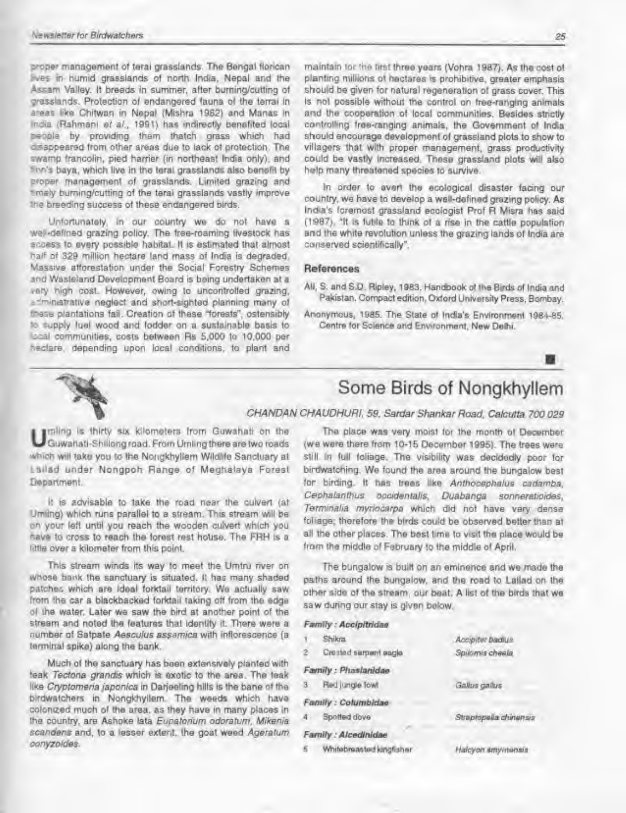proper management of lerai grasslands. The Bengal florican hves in humid grasslands of north India. Nepal and the Assam Valley. II breeds in summer, after burning/cutting of grasslands. Protection of endangered fauna of the terrai in areas like Chitwan in Nepal (Mishra 1982) and Manas in India (Rahmani et al., 1991) has indirectly benefited local people by providing them thatch grass which had dsappeared from other areas due to lack of protection. The swamp trancolin, pied harrier (in northeast India only), and finn's baya, which live in the teral grasslands also benefit by proper management of grasslands. Limited grazing and timely burning/cutting of the terai grasslands vastly improve the breeding success of these endangered birds.

Unfortunately, in our country we do not have a wel-deflned grazing policy. The free-roaming livestock has access to every possible habitat. It is estimated that almost half of 329 million hectare land mass of India is degraded. Massive afforestation under the Social Forestry Schemes and Wasteland Development Board is being undertaken at a vary high cost. However, owing to uncontrolled grazing.  $e^{-im}$ inatrative neglect and short-sighted planning many of these plantations fail. Creation of these "forests", ostensibly 10 supply fuel wood ar.d fodder on a sustainable basis to local communities, costs between Rs 5,000 to 10,000 per hectare, depending upon local conditions, to plant and

maintain tor the tirst three years (Vohra 1987). As the cost of planting millions of hectares is prohibitive, greater emphasis should be given tor natural regeneration ol grass cover. This is not possible without ihe control on free-ranging animals and the cooperation of local communities. Besides strictly controlling free-ranging animals, the Government of India should encourage development ol grassland plots to show to villagers that with proper management, grass productivity could be vastly increased. These grassland plots will also help many threatened species to survive.

In order to avert the ecological disaster facing our country, we have to develop a well-defined grazing policy. As India's foremost grassland ecologist Prof R Misra has said (1987), 'It is futile to think of a rise in the cattle population and the white revolution unless the grazing lands ol India are conserved scientifically".

#### References

- All, S. and S.D. Ripley, 1983. Handbook of the Birds of India and Pakistan. Compact edition, Oxford University Press, Bombay.
- Anonymous. 1985. The State of India's Environment 1984-6S. Centre tor Science and Environment, New Oehl



# Some Birds of Nongkhyllem

**I** unling is thirty six kilometers from Guwahati on the Guwahatl-Shrllong road. From Umling there are two roads which will take you to the Nongkhyllem Wildlife Sanctuary at Lailad under Nongpoh Range ol Meghalaya Forest Department.

It is advisable to take the road near the culvert (at Umling) which runs parallel to a stream. This stream will be on your left until you reach the wooden culvert which you have to cross to reach the forest rest house. The FRH is a little over a kilometer from this point.

This stream winds its way to meet the Umtru river on whose bank the sanctuary is situated. It has many shaded patches which are ideal forktail territory. We actually saw from the car a blackbacked forktall taking off from the edge of the water. Laler we saw Ihe bird at another point of the stream and noted the features that identify it. There were a number of Satpate Aesculus assamica with inflorescence (a terminal spike) along the bank.

Much of the sanctuary has been extensively planted with teak Tectona grand's which is exotic to the area The leak like Cryptomena japonica in Darjeeling hills is the Dane ol the birdwatchers in Nongkhyllem. The weeds which have colonized much of the area, as they have in many places in the country, are Ashoke Lata Eupatorium odoratvm, Mikenia scandens and, to a lesser extent, the goat weed Ageratum conyzoldes.

CHANDAN CHAUDHURI, 59, Sardar Shankar Road, Calcutta 700 029

The place was very moist for the month of December (we were there from 10-15 December 1995). The trees were still in full foliage. The visibility was decidedly poor for birdwatching. We found the area around the bungalow best for birding. It has trees like Anlhocephalus cadamba. Cephalanthus opcidentalis, Duabanga sonneratioides, Terminalia mynocarpa which did not have very dense foliage; therefore the birds could be observed better than at all the other places. The best lime to visit the place would be from the middle of February to the middle of April.

The bungalow is built on an eminence and we made the paths around the bungalow, and the road lo Lailad on ihe other side of the stream, our beat. A list of the birds that we saw during our stay is given below.

Accipiter badlus

### Family : Accipitridae <sup>1</sup> Shikm

| 2     | Crested surpent sagle    | Spilomis cheels.       |
|-------|--------------------------|------------------------|
|       | Family : Phaslanidae     |                        |
| $3 -$ | Red jungle fowl          | Gallus gallus          |
|       | Family : Columbidae      |                        |
| 4     | Spotted dove             | Strapfopelia chinensis |
|       | Family : Alcedinidae     |                        |
| 5     | Whitebreasted kingfisher | Halcyon smy/minsis     |
|       |                          |                        |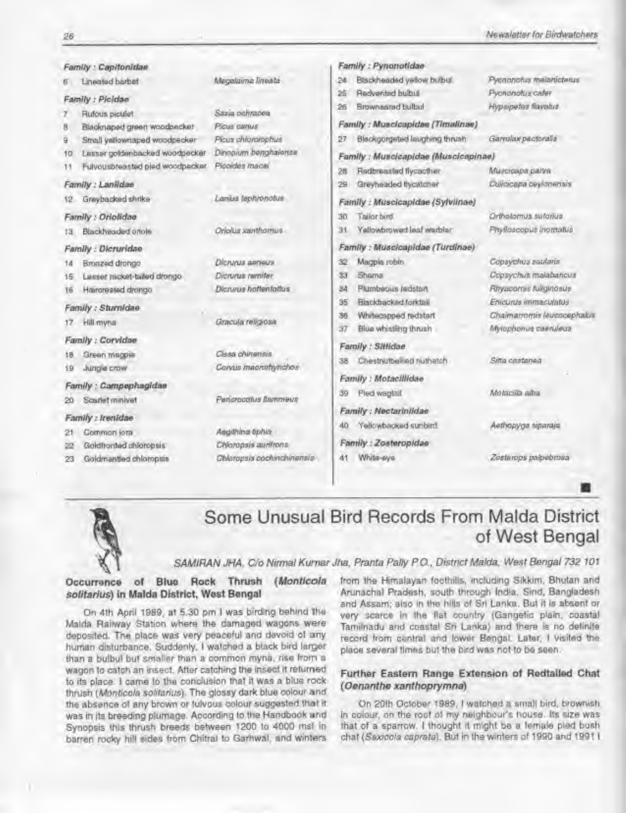|                    | Family : Capitonidae             |                            | Family : Pynanotidae                                            |  |
|--------------------|----------------------------------|----------------------------|-----------------------------------------------------------------|--|
|                    | Lineated barbet                  | Megalaima limeata          | Blackheaded yellow bulbul<br>Pycnonotus melanicterus<br>24      |  |
|                    | Family : Picidae                 |                            | Redverded bulbul<br>Pyononotus cafer<br>25                      |  |
|                    | Rufous piculet                   | Sasia ochracea             | Hypsipetes flavalus.<br>Brownsared bulbul<br>26                 |  |
| 8                  | Blacknaped green woodpecker      | <b>Picus canus</b>         | Family : Musclcapidae (Timalinae)                               |  |
| 9                  | Strall yellownaped woodpecker    | Picus chloroiophus         | Blackgorgeted laughing thrush<br>Garrulax pactoralis<br>27      |  |
| 10                 | Lesser goldenbacked woodpecker   | Dinopium benghalonsa       | Family: Muscicapidae (Muscicapinae)                             |  |
| 11                 | Fulvousbreasted pied woodpecker. | Picoides macei             | Redbreasted flycacther<br>Muscicapa parva<br>28                 |  |
|                    | Family : Laniidae                |                            | Culcicana ceylonensis<br>Greyheaded flycatcher<br>29            |  |
| 12                 | Graybacked shrike                | Lanius tephnonotus         | Family : Muscicapidae (Sylviinae)                               |  |
|                    | Family : Oriolidae               |                            | Ortholomus sutorius.<br>Tailor bird.<br>30                      |  |
| ľЗ                 | Blackheaded onole                | Oriolus xamthornus         | Phylloscopus Inomatus<br><b>Yallowbrowed leaf warbler</b><br>31 |  |
|                    | Family: Dicruridae               |                            | Family : Muscicapidae (Turdinae)                                |  |
| 14                 | Bronzed drongo                   | Dicrurus aerieus           | Magple robin<br>Copaychus saulans<br>32                         |  |
| 16                 | Lesser racket-tailed drongo      | Dicrurus remiter           | Copsychus malabahqus<br><b>Shama</b><br>33                      |  |
| 16                 | Haircreated drongo               | Dicrurus hottentatius      | Pitryacomis fullginosus<br>Plumbeous redstart<br>84             |  |
| Family : Sturnidae |                                  |                            | Enicurus immaculatus<br>Blackbacked forktail<br>35              |  |
| 17                 | Hill myna                        | Gracula religiosa          | Chaimatrontis leucocephalus<br>Whitecapped redstart<br>36       |  |
|                    |                                  |                            | Blue whistling thrush<br>Mylophonus caenuleus<br>37             |  |
|                    | Family : Corvidae                |                            | Family : Sittidae                                               |  |
| 18                 | Green megpie                     | Cless chinensis            | Sitta castanea<br>Chestnutber ed nuthetch<br>38                 |  |
| 19                 | Jungle crow                      | Corvus maeramynchos        | Family : Motacillidae                                           |  |
|                    | Family : Campephagidae           |                            | Motacilla alba<br>Pled wagtail<br>39                            |  |
| 20                 | Scarlet minivet                  | Pencrocotus Bammeus        |                                                                 |  |
|                    | Family : Irenidae                |                            | Family : Nectariniidae                                          |  |
| 21                 | Common lora                      | Aegithina ophia            | Aethopyga siparaja<br>Yellowbacked sunbird.<br>40               |  |
| 22                 | Goldfronted chloropsis           | Chloropsis auritrons       | Family : Zosteropidae                                           |  |
| 23                 | Goldmantled chloropsis           | Chloropsis cochyrchinensis | White-siye<br>Zosterops palpebrosa<br>41                        |  |



# Some Unusual Bird Records From Malda District of West Bengal

SAMIRAN JHA, C/o Nirmal Kurnar Jha, Pranta Pally P.O., District Malda, West Bengal 732 101

Occurrence of Blue Rock Thrush {Monticola solitarius) in Malda District. West Bengal

On 4th April 1989, at 5.30 pm I was birding behind the Malda Railway Station where Ihe damaged wagons were deposited. The place was very peaceful and devoid ot any human disturbance. Suddenly, <sup>I</sup> watched a black bird larger than a bulbul but smaller than a common myna. rise from a wagon to catch an insect. After catching the insect it returned to its place. <sup>I</sup> came lo the conclusion that il was a blue rock thrush (Monticola solitanius). The glossy dark blue colour and the absence of any brown or fulvous colour suggested that it was in its breeding plumage According to the Handbook and Synopsis this thrush breeds between 1200 to 4000 msl in barren rocky hill sides from Chitral to Garhwal. and winters

from the Himalayan foothills, including Sikkim. Bhutan and Arunachal Pradesh, south through India. Smd, Bangladesh and Assam: also in Ihe hills of Sri Lanka. But it is absent or very scarce in the flat country (Gangetic plain, coastal Tamilnadu and coastal Sri Lanka) and there is no definite record from central and lower Bengal. Later. <sup>I</sup> visited the place several times but the bird was not to be seen.

#### Further Eastern Range Extension of Redtailed Chat (Oonantha xanthoprymna)

On 20th October 19B9, <sup>1</sup> watched a small bird, brownish in colour, on the rool of my neighbour's house. Its size was that of a sparrow. <sup>I</sup> thought it might be a female pied bush chat (Saxicola caprata). But in the winters of 1990 and 1991 I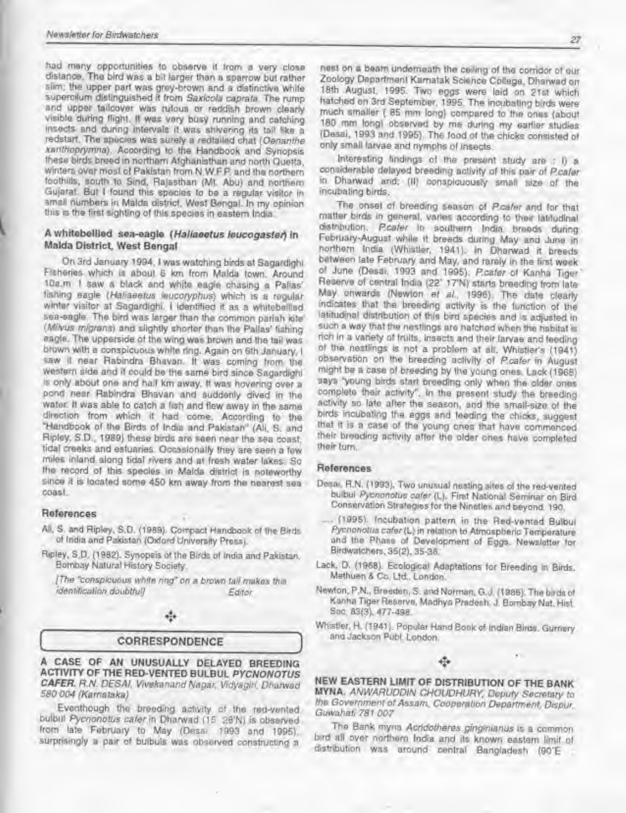had many opportunities to observe it itom a very close distance. The bird was a bit larger than a sparrow but rather sim; the upper part was grey-brown and a distinctive white supercilum distinguished ft from Saxicola caprata. The rump and upper tailcover was rufous or reddish brown clearly visible during flight. It was very busy running and catching insects and during intervals it was shivering its tail like a redstart. The species was surely a redtailed chat (Oenanthe xanihoptymna). According to the Handbook and Synopsis these birds breed in northern Afghanistan and north Quetta. winters over most of Pakistan from N.W.F.P. and the northern foothills, south to Sind, Rajasthan (Mt. Abu) and northern Gujarat. Bui <sup>I</sup> found this species to be a regular visitor in small numbers in Malda district, West Bengal. In my opinion this is the first sighting of Ihis species in eastern India.

#### A whitebellied sea-eagle (Haliaeetus leucogaster) in Malda District, West Bengal

On 3rd January 1994, <sup>1</sup> was watching birds at Sagardighi Fisheries which is about 6 km from Malda town. Around 10a.m <sup>I</sup> saw <sup>a</sup> black and white eagle chasing a Pallas' fishing eagle (Haliaeetus leucoryphus) which is a regular winter visitor at Sagardighi. <sup>I</sup> identified it as a whitebellied sea-eagle. The bird was larger than the common pariah kite (Milvus migrans) and slightly shorter than the Pallas' fishing eagle. The upperside of the wing was brown and the tail was brown with a conspicuous white img. Again on 6th January. <sup>I</sup> saw it near Rabindra Bhavan. It was coming from the western side and it could be fhe same bird since Sagardighi is only about one and half km away, it was hovering over a pond near Rabindra Bhavan and suddenly dived in the water. It was able to catch a lish and flew away in the same direction from which it had come. According to the "Handbook of the Birds of India and Pakistan" (All. S. and Ripley, SO., 1989) these birds are seen near the sea coast. tidal creeks and esfuaries. Occasionally they are seen a few miles inland along tidal rivers and at fresh water lakes. So the record of this species in Malda district is noteworthy since it is located some 450 km away from the nearest sea coast.

#### References

- Ak. S. and Ripley. S.D. (1989). Compact Handbook of the Birds of India and Pakistan (Oxford University Press).
- Ripley, S.D. (1982). Synopsis of the Birds of India and Pakistan. Bombay Natural History Society.

(The "conspicuous while nngf on a brown taH makes this identification doubtful] Editor

### ele

### CORRESPONDENCE

A CASE OF AN UNUSUALLY DELAYED BREEDING ACTIVITY OF THE RED- VENTED 8ULBUL PYCNONOTUS CAFER, R.N. DESAI, Vivekanand Nagar, Vidyagin, Dharwad 580 004 (Kamataka)

Eventhough the breeding activity of the red-vented bulbul Pycnonotus cafer in Dharwad (15 28'N) is observed from late February to May (Desai, 1993 and 1995), surprisingly <sup>a</sup> pair of bulbuls was observed constructing a

nest on a beam underneath the ceiling of the corridor of our Zoology Departmenl Karnatak Science Colege. Dharwad on 18th August, 1995. Two eggs were laid on 21st which hatched on 3rd September. 1995. The incubating birds were much smaller ( <sup>85</sup> mm long) compared to Ihe ones (about 180 mm long) observed by me during my earlier studies (Desai. 1993 and 1995). The food of Ihe chicks consisted of onfy small larvae and nymphs of Insects.

Interesting findings of the present study are ; I) a considerable delayed breeding activity of this pair of Pcaler in Dhanwad and; (II) conspicuously small size of the incubating birds.

The onset of breeding season of Pcaler and tor that matter birds in general, varies according to their latitudinal distribution. P.cafer in southern India breeds during February-August while It breeds during May and June in northern India (Whistler, 1941). In Dharwad it breeds between late February and May. and rarely in the first week of June (Desai. 1993 and 1995). P.caler of Kanha Tiger' Reserve of central India (22° 17'N) starts breeding from late May onwards (Newton ef al., 1996). The date clearly indicates that Ihe breeding activity is the function of the latitudinal distribution of Ihis brd species and is adjusted in such <sup>a</sup> way that the nestlings are hatched when the habitat is rich In <sup>a</sup> variety of Iruils. insects and their larvae and feeding of the nestings is nol a problem at alt. Whistler's (1941) observation on the breeding activity of Pcater in August might be a case of breeding by fhe young ones. Lack (1968) says 'young birds start breeding only when the older ones complete their activity". In the present study the breeding activity so late after the season, and the small-size of the birds incubating the eggs and feeding the chicks, suggest that it is a case of the young ones that have commenced their breeding activity after the older ones have completed their turn.

#### References

- Desai. R.N. (1993). Two unusual nesting sites of fhe red-vented bulbul Pycnonotus cafer (L). First National Seminar on Bird Conservation Strategies for the Nineties and beyond. 190.
- .... (1995). Incubation pattern in the Red-vented Bulbul Pycnonotus cater(L) in relation to Atmospheric Temperature and the Phase of Development of Eggs. Newsletter for Birdwatchers. 35(2), 35-36.
- Lack, D. (1968). Ecological Adaptations for Breeding in Birds. Methuen & Co. Lid.. London.
- Newton, P.N., Breeden, S. and Norman, G.J. (1986). The birds of Kanha Tiger Reserve. Madhya Pradesh. J. Bombay Nat. Hist Soc. 83(3). 477-498.
- Whistler, H. (1941 ). Popular Hand Book of Indian Birds. Gurnery and Jackson Pub!. London.



NEW EASTERN LIMIT OF DISTRIBUTION OF THE BANK MYNA. ANWARUDDIN CHOUDHURY, Deputy Secretary to the Government of Assam, Cooperation Department, Dispur, Guwahati 781 007

The Bank myna Acridotheres ginginianus is a common bird all over northern India and its known eastern limit ol distribution was around central Bangladesh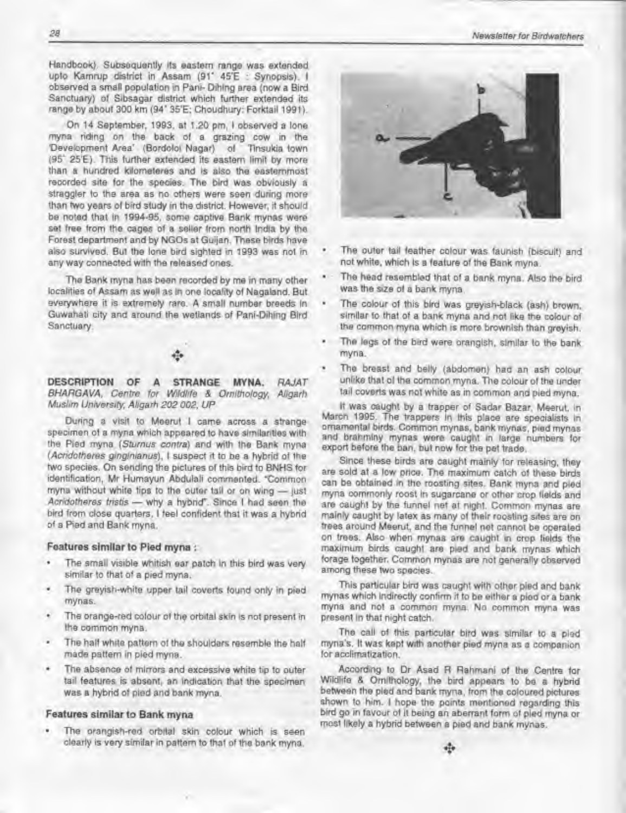Handbook). Subsequently lis eastern range was extended upto Kamrup district in Assam (91\* 45'E : Synopsis). <sup>I</sup> observed a small population in Pani- Dihing area (now a Bird Sanctuary) of Sibsagar district which further extended its range by about 300 km (94" 35'E; Choudhury: Forktail 1991).

On 14 September, 1993. at 1.20 pm, <sup>I</sup> observed a lone myna riding on the back of a grazing cow in the Development Area<sup>\*</sup> (Bordoloi Nagar) of Tinsukia town (95' 25'E). This further extended its eastern limit by more than a hundred kiometeres and is also the easternmost recorded site tor the species The bird was obviously a straggler to the area as no others were seen during more than two years of bird study in the district. However, it should be noted that in 1994-95. some captive Bank mynas were set free from the cages of a seller from north India by the Forest department and by NGOs at Guijan. These birds have also survived. Bui the lone bird sighted in 1993 was not in any way connected with the released ones.

The Bank myna has been recorded by me in many other localities of Assam as well as in one locality of Nagaland. But everywhere it is extremely rare. A small number breeds In Guwahati city end around the wetlands of Panl-Dihing Bird Sanctuary.

DESCRIPTION OF A STRANGE MYNA. RAJAT BHARGAVA, Centre for Wildlife & Ornithology, Aligarh Muslim University, Aligarh 202 002, UP

During a visit to Meerut <sup>I</sup> came across a strange specimen of a myna which appeared to have slmllanties with the Pled myna {Sturnus contra) and with the Bank myna (Acridotheres ginginianus), I suspect it to be a hybrid of the two species. On sending the pictures of this bird to BNHS for identification, Mr Humayun Abdulall commenled. "Common myna without white tips to the outer tail or on wing — (ust Acridotheres tristis - why a hybrid". Since I had seen the bird from close quarters. <sup>I</sup> feel confident that if was a hybrid of a Pied and Bank myna.

#### Features similar fo Pied myna :

- ٠ The small visible whitish ear patch In this bird was very simitar to that of a pied myna.
- The greyish-white upper tail coverts found only in pied mynas.
- The orange-red colour of the orbital skin is not present in Ihe common myna.
- The half white pattern of the shoulders resemble the half made pattern in pied myna.
- ٠ The absence of mirrors and excessive white tip to outer tail features is absent, an Indication that the specimen was a hybrid of pied and bank myna.

#### Features similar to Bank myna

The orangish-red orbital skin colour which is seen clearly is very similar in pattern lo that of Ihe bank myna.



- The outer tail feather colour was faunish (biscuit) and not white, which Is a feature of the Bank myna.
- The head resembled that of a bank myna. Also the bird was the size of a bank myna,
- The colour of this bird was greyish-black (ash) brown, similar to that of a bank myna and not like the colour of the common myna which is more brownish than greyish.
- The legs of the bird were orangish, similar to the bank myna.
- The breast and belly (abdomen) had an ash colour unlike thai of Ihe common myna. The colour of the under tail coverts was not white as in common and pled myna.

It was caught by a trapper of Sadar Bazar, Meerut, in March 1995. The trappers in this place are specialists In ornamental birds. Common mynas, bank mynas, pied mynas and brahminy mynas were caught in large numbers for export before the ban. bul now for the pet irade.

Since these birds are caught mainly for releasing, they are sold at a low price. The maximum catch of these birds can be obtained in the roosting sites. Bank myna and pied myna commonly roost in sugarcane or other crop fields and are caughl by Ihe funnel net al night. Common mynas are mainly caught by latex as many of their roosting sites are on trees around Meerut, and the funnel net cannot be operated on trees. Also when mynas are caughl in crop fields the maximum birds caught are pied and bank mynas which forage together. Common mynas are not generally observed among these two species.

This particular bird was caught with other pied and bank mynas which Indirectly confirm it to be either a pied or a bank myna and not a common myna. No common myna was present in that night catch.

The call of this particular bird was similar to <sup>a</sup> pied myna's. It was kept with another pied myna as a companion lor acclimatization

According to Dr Asad H Rahmani of the Centre for Wildlife & Ornithology, the bird appears to be a hybrid between the pled and bank myna, from the coloured pictures shown to him. I hope the points mentioned regarding this bird go in favour of it being an aberrant form of pled myna or mosl likely a hybrid between a pied and bank mynas.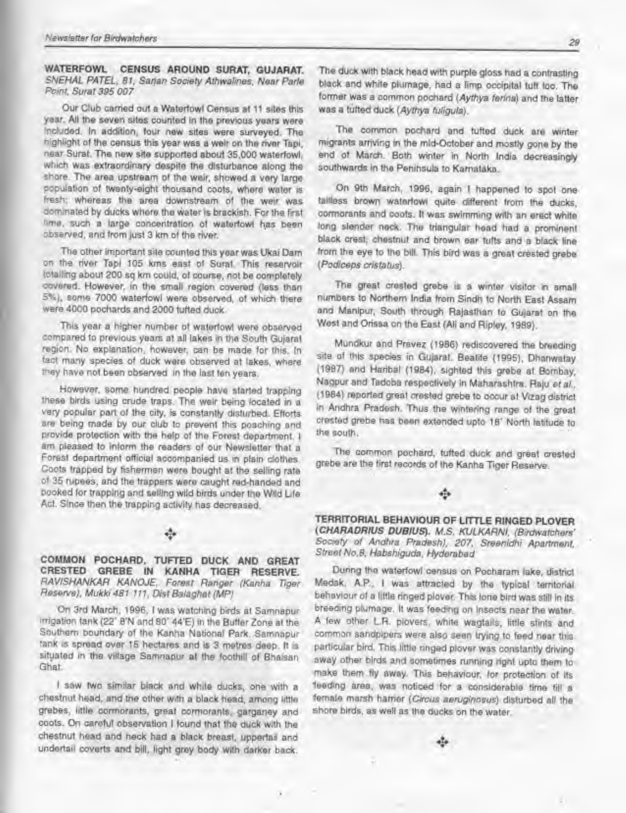WATERFOWL CENSUS AROUND SURAT. GUJARAT SNEHAL PATEL, 81, Sarjan Society Athwalines, Near Parle Point, Sunt 395 007

Our Club carried out a Waterfowl Census at 11 sites this year. All the seven sites counted in the previous years were included. In addition, four new sites were surveyed. The highlight ot the census this year was a weir on the nver Tap), near Sural. The new site supported about 35,000 waterfowl, which was extraordinary despite the disturbance along the shore. The area upstream ot the weir, showed a very large population of twenty-eight thousand coots, where water is fresh: whereas the area downstream ot the weir was dominated by ducks where the water is brackish. For the first time, such a large concentration of waterfowl has been observed, and from Jusl 3 km of the river

The other important site counted this year was Ukai Dam on the nver Tapl 105 kms east ot Sural. This reservoir totaling about 200 sq km could, of course, not be completely covered. However, in the small region covered (less than S%), some 7000 waterfowl were observed, of which there were 4000 pochards and 2000 tufted duck.

This year a higher number of waterfowl were observed compared to previous years at all lakes in the South Gujarat region. No explanation, however, can be made for this. In fact many species of duck were observed at lakes, where they have not been observed in the last ten years.

However, some hundred people have started trapping these birds using crude traps. The weir being located in a very popular part ol the city. Is constantly disturbed. Efforts are being made by our club to prevent this poaching and provide protection with the help of the Forest department. <sup>I</sup> am pleased to inform the readers of our Newsletter that <sup>a</sup> Forest department official accompanied us in plain clothes. Coots trapped by fishermen were bought at the selling rate of 35 rupees, and the trappers were caught red-handed and booked for trapping and selling wild birds under the Wild Lite Act. Since then the trapping activity has decreased.

COMMON POCHARD. TUFTED DUCK AND GREAT CRESTED GREBE IN KANHA TIGER RESERVE. RAVISHANKAR KANOJE. Forest Ranger (Kanha Tiger Reserve). Mukh 481 111, Dist Balaghat (MP/

On 3rd March. 1996. <sup>I</sup> was watching birds at Samnapur irrigation tank (22\* 8'N and 80\* 44'E) in the Buffer Zone at the Southern boundary of the Kanha National Park. Samnapur tank is spread over 15 hectares and is 3 metres deep. It is situated in the village Samnapur at the foothill of Bhaisan Ghat

I saw two similar black and white ducks, one with a chestnut head, and the other with a black head, among little grebes, little cormorants, great cormorants, garganey and coots. On careful observation <sup>I</sup> found that the duck with the chestnut head and neck had a black breast, uppertai and undertaii coverts and bill, light grey body with darker back.

The duck with black head with purple gloss had <sup>a</sup> contrasting black and white plumage, had <sup>a</sup> limp occipital tuft too. The former was <sup>a</sup> common pochard (Aythya ferina) and the latter was a tutted duck {Aythya fuligula).

The common pochard and tutted duck are winter migrants arriving in the mid-October and mostly gone by the end of March. Both winter in North India decreasingly southwards in the Peninsula to Karnataka.

On 9th March, 1996. again <sup>I</sup> happened to spot one tailless brown waterfowl quite different from the ducks, cormorants and coots. It was swimming with an erect white long slender neck. The triangular head had a prominent black crest, chestnut and brown ear tufts and a black line from the eye to the bill. This bird was <sup>a</sup> great crested grebe [Podiceps cristatus).

The great crested grebe is a winter visitor in small numbers to Northern India from Sindh to North East Assam and Manipur, South through Rajasthan to Gujarat on the West and Oriasa on the East (Ali and Ripley. 1989).

Mundkur and Pravez <sup>&</sup>lt; <sup>1</sup> 986) rediscovered the breeding site of this species in Gujarat. Beatife (1995), Dhanwatay. (1987) and Haribal (1984), sighted this grebe at Bornbay, Nagpur and Tadoba respectively in Maharashtra. Raju ef a/., ( <sup>1</sup> 984) reported great crested grebe to occur al Vtzag district in Andhra Pradesh. Thus the wintering range of the great crested grebe has been extended upto <sup>1</sup> 8' North latitude to the south.

The common pochard, tufted duck and great crested grebe are the first records of the Kanha Tiger Reserve.

#### ÷

TERRITORIAL BEHAVIOUR OF LITTLE RINGED PLOVER {CHARADRIUS DUBIUS). M.S. KULKARNI. (Birdwatchers' Society ot Andhra Pradesh), 207. Sreenidhi Apartment. Street No.8, Habshiguda, Hyderabad

During the waterfowl census on Pocharam lake, district Medak, A.P., <sup>I</sup> was attracted by the typical territorial behaviour of a little ringed plover. This lone bird was still in Its breeding pkimage. It was feeding on insects near the wator. A few other L.R. plovers, white wagtails, little stints and common sandpipers were also seen trying to feed near this particular bird. This little ringed plover was constantly driving away other birds and sometimes running tight upto them to make them fly away. This behaviour, for protection of its leading area, was noticed for a considerable time till a •female marsh harrier (Circus aeruginosas) disturbed all the shore birds, as well as the ducks on the water,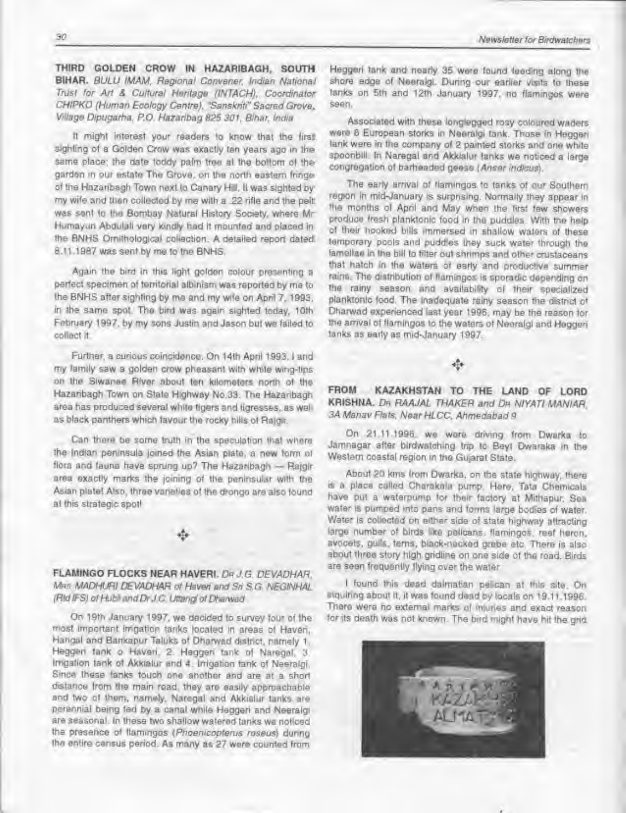THIRD GOLDEN CROW IN HAZARIBAGH, SOUTH BIHAR. BULU IMAM, Regional Convener. Indian National Trust for Art & Cultural Heritage (INTACH), Coordinator CHIPKO (Human Ecology Centre). "Sanskriti" Sacred Grove. Village Dipugarha, P.O. Hazaribag825 301. Bihar, India

It might interest your readers to know that the first sighting ot a Golden Crow was exactly ten years ago in the same place; the date toddy palm tree at the bottom of the garden in our estate The Grove, on the north eastern thnge ot the Hazaribagh Town next to Canary Hrl. It was sighted by my wite and then collected by me with a .22 rifle and the pelt was sent to the Bombay Natural History Society, where Mr Humayun Abdulali very kindly had it mounted and placed in the BNHS Ornithological collection. A detailed report dated 8.11.1987 was sent by me to the BNHS.

Again the bird in this light golden colour presenting a perfect specimen of territorial albinism was reported by me to the BNHS after sighting by me and my wife on April 7, 1993, in the same spot The bird was again sighted today, 10th February 1997, by my sons Justin and Jason but we failed to collect it

Further, a curious coincidence. On 14th April 1993, I and my family saw a golden crow pheasant with white wing-lips on the Siwanee River about ten kilometers north of the Hazaribagh Town on State Highway No.33. The Hazaribagh area has produced several white tigers and tigresses, as well as black panthers which favour the rocky hills of Rajon.

Can there be some truth in the speculation that where the Indian peninsula joined the Asian plate, a new form of flora and fauna have sprung up? The Hazaribagh - Rajgir area exactly marks the joining of the peninsular with Ihe Asian plate! Also, three varieties of Ihe drongo are also found a<sup>I</sup> this strategic spot!

FLAMINGO FLOCKS NEAR HAVERI. DR J.G. DEVADHAR. M»s MADHURI DEVADHAR of Haven and Sri S.G. NEGINHAL (RtdlFS/otHubtiandDrJC Uttong otDharwad

On 19th January 1997. we decided to survey four ol the mosl important irrigation tanks located in areas of Haven, Hangal and Bankapur Taluks of Dharwad district, namely 1. Heggeri tank o Haveri. 2. Heggeri tank ol Naregal. 3 Irrigation tank of Akkialur and 4. Irrigation tank ol Neeralgi. Since these tanks touch one another and are at a short distance trom the main road, they are easily approachable and two of them, namely, Naregal and Akkialur tanks are perennial being fed by a canal while Heggeri and Neeralgi are seasonal. In these two shallow watered tanks we noticed the presence ol flamingos (Phoenicopterus roseus) dunng the entire census period. As many as 27 were counted from

Heggeri tank and nearly 35 were found feeding along the shore edge of Neeralgi. During our earlier visits to these tanks on 5th and 12th January 1997, no flamingos were

Associated with these longlegged rosy coloured waders were 6 European storks in Neeralgi tank. Those in Heggeri lank were in the company of 2 painted storks and one white spoonbill. In Naregal and Akkialur tanks we noticed a large congregation of barheaded geese {Anser ind/cus).

The early arrival of flamingos to tanks of our Southern region in mid-January is surpnsing. Normally they appear in the months of April and May when the first few showers produce fresh planktonic food in the puddles. With the help ot their hooked bills immersed in shallow walers of these temporary pools and puddles they suck water through Ihe lamellae in the bill to filter out shrimps and other crustaceans that hatch in the waters of early and productive summer rains. The distribution ol flamingos is sporadic depending on the rainy season and availability of their specialized planktonic lood. The inadequate rainy season the district of Dhanvad experienced last year 1996. may be the reason for the arrival of flamingos to the waters of Neeralgi and Heggeri tanks as early as mid-January 1997.

FROM KAZAKHSTAN TO THE LAND OF LORD KRISHNA. DR RAAJAL THAKER and DR NIYATI MANIAR. 3A Manav Flats, Near HLCC, Ahmedabad 9

On 21.11.1996. we were driving from Dwarka to Jamnagar after birdwatching trip to Beyt Dwaraka in Ihe Western coastal region in the Gujarat State.

About 20 kms from Dwarka, on the state highway, there is a place called Charakala pump. Here. Tata Chemicals have put a waterpump lor their factory at Mithapur. Sea water is pumped into pans and forms large bodies of water. Water is collected on either side of state highway attracting large number of birds like pelicans, flamingos, reef heron, avocets, gulls, terns, black-necked grebe efc. There is also about three story high gridline on one side of Ihe road. Birds are seen frequently flying over the water.

I found this dead dalmatian pelican at this site. On mquinng about H. it was found dead by locals on 19.11 .1996. There were no external marks of injuries and exact reason for its death was not known. The bird might have hit the grid

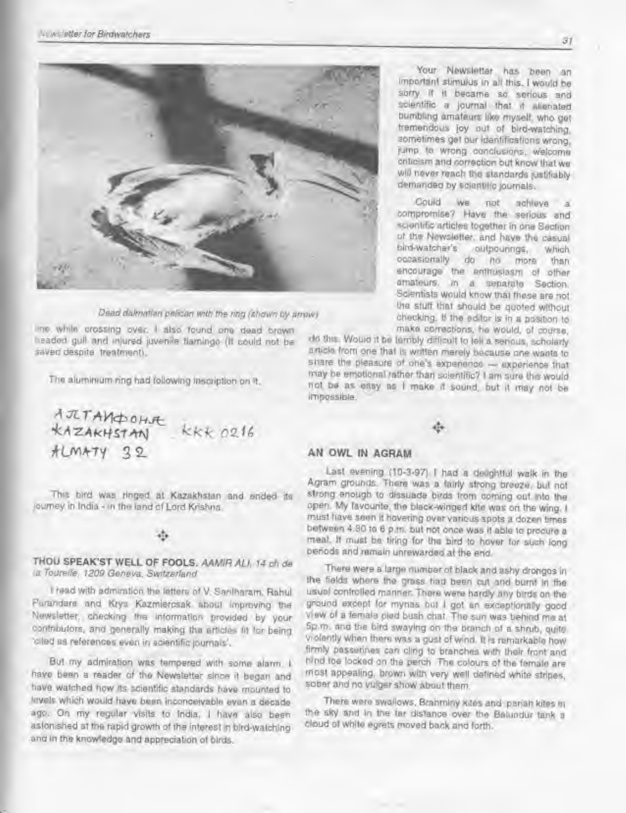

Dead dalmatian pelican win the ring (shown by arrow)

ine while crossing over. <sup>I</sup> also found one dead brown headed gull and injured juvenile flamingo (It could not be saved despite treatment).

The aluminium ring had following inscription on it.

AJETANDOHJE KKK 0216  $HLMAY 22$ 

This bird was ringed at Kazakhstan and ended its journey in India - in the land of Lord Krishna.

THOU SPEAK'ST WELL OF FOOLS. AAMIR ALI. 14 ch de la Tourelle, iZ09 Geneva. Switzerland

I read with admiration the letters of V. Santharam. Rahul Purandare and Krys Kazmiercsak about Improving the Newsletter, checking the information provided by your contributors, and generally making the articles fit for being. "cried as references even in scientific journals'.

Bui my admiration was tempered with some alarm. <sup>I</sup> have been a reader of the Newsletter since it began and have watched how its scientific standards have mounted to levels which would have been inconceivable even a decade ago. On my regular visits to India, <sup>I</sup> have also been astonished at the rapid growth of the interest in bird-watching and in the knowledge and appreciation of birds.

Your Newsletter has been an important stimulus in all this. <sup>I</sup> would be sorry If it became so serious and scientific a journal that it alienated bumbling amateurs like myself, who get tremendous joy out of bird-watching, sometimes get our identifications wrong, lump to wrong conclusions, welcome criticism and correction but know that we will never reach the standards justifiably demanded by scientific journals.

Could we not achieve a compromise? Have the serious and scientific articles together in one Section of the Newsletter, and have the casual<br>bird-watcher's outpourings, which bird-watcher's outpourings, which occasionally do no more than encourage the enthusiasm of other amateurs, in a separate Section. Scientists would know that these are not the stuff that should be quoted without checking. If the editor is in a position to make corrections, he would, of course,

do this. Would it be terribly difficult to tell <sup>a</sup> serious, scholarly <sup>a</sup> rticle Irom one that is written merely because one wants to share the pleasure of one's experience — experience that may be emotional rather than scientific? <sup>I</sup> am sure the would not be as easy as <sup>I</sup> make it sound, but it may not be impossible.

### AN OWL IN AGRAM

Last evening (10-3-97) I had a delightful walk in the Agram grounds. There was <sup>a</sup> fairly strong breeze, but not strong enough to dissuade birds from coming out into the open. My favourite, the black-winged kite was on the wing. <sup>I</sup> must have seen it hovering over various spots a dozen times between 4.30 to <sup>6</sup> p.m. but not once was It able to procure <sup>a</sup> meal. It must be tiring for the bird to hover for such long periods and remain unrewarded at the end.

There were a large number of black and ashy drongos in the fields where the grass had been cut and burnt in the usual controlled manner. There were hardly any birds on the ground except for mynas but I got an exceptionally good view of <sup>a</sup> lemale pled bush chat. The sun was behind me at 5p.m. and the bird swaying on the branch of a shrub, quite volently when there was <sup>a</sup> gust of wind. It is remarkable how firmly passerines can cling to branches with their front and hind toe locked on the perch. The colours of the female are mosl appealing, brown with very well defined white stripes, sober and no vulger show about them.

There were swallows. Brahminy kites and pariah kites m the sky and in me tar distance over the Belundur tank <sup>a</sup> doud of while egrets moved back and forth.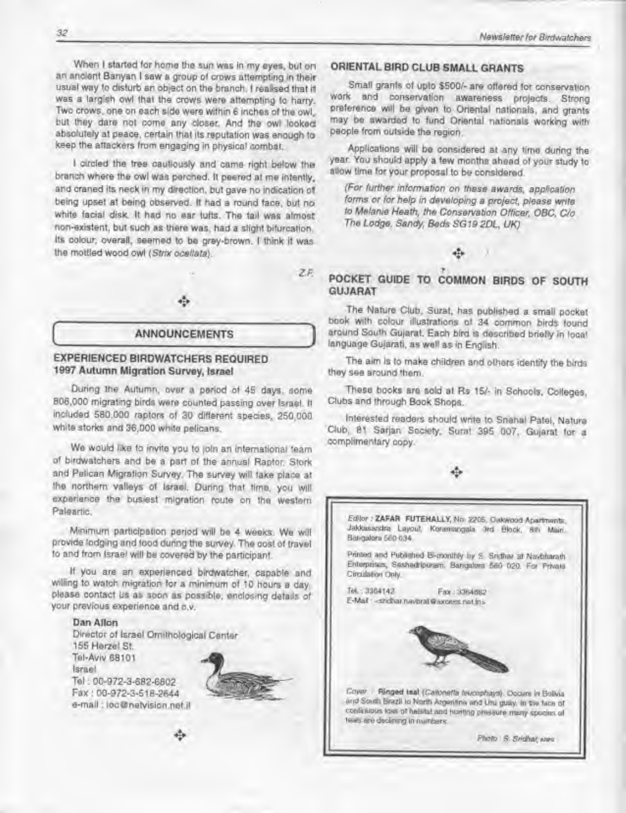When I started for home the sun was in my eyes, but on an ancient Banyan <sup>I</sup> saw <sup>a</sup> group ot crows attempting in their usual way to disturb an object on the branch. <sup>I</sup> realised that it was a largish owl that the crows were attempting to harry. Two crows, one on each side were within 6 inches of the owl, bul Ihey dare not come any doser. And the owl looked absolutely at peace, certain that its reputation was enough to keep the attackers from engaging in physical combat.

<sup>I</sup> circled the tree cautiously and came right below the branch where the owl was perched. It peered at me intently, and craned its neck in my direction, but gave no indication of being upset at being observed. It had a round tace. but no white facial disk, ft had no ear tufts. The tail was almost non-existent, but such as there was. had a slight bifurcation. Its colour, overall, seemed to be grey-brown. <sup>I</sup> think it was the mottled wood owl (Strix ocellata).

Zf.

#### ANNOUNCEMENTS

### EXPERIENCED BIRDWATCHERS REQUIRED 1997 Autumn Migration Survey, Israel

During the Autumn, over a period of 45 days, some 806.000 migrating birds were counted passing over Israel. It included 580,000 raptors ot 30 different species, 250.000 white storks and 36.000 white pelicans.

We would like to invite you to join an international team of birdwatchers and be a part ol the annual Raptor, Stork and Pelican Migration Survey. The survey will take place at the northern valleys of Israel. During that time, you will experience the busiest migration route on the western Paleartic.

Minimum participation period will be <sup>4</sup> weeks. We will provide lodging and food during the survey. The cost of travel to and from Israel will be covered by the participant.

If you are an experienced birdwatcher, capable and willing to watch migration tor a minimum of 10 hours a day. please contact us as soon as possible, enclosing details of your previous experience and c.v.

#### Dan Alton

Director of Israel Ornithological Center 155 Herzel St. Tel-Aviv 68101 Israel Tel : 00-972-3-682-6802 Fax : 00-972-3-518-2644 e-mail : toc@netvision.net.il



### ORIENTAL BIRD CLUB SMALL GRANTS

Small grants ol upto \$500/- are ottered for conservation work and conservation awareness projects. Strong preference will be given lo Oriental nationals, and grants may be awarded to fund Orienlal nationals working with people from outside the region.

Applications will be considered at any rime during the year. You should apply a lew months ahead ol your study to allow time tor your proposal lo be considered.

(For further information on these awards, application forms or for help in developing a project, please write to Metanie Heath, the Conservation Officer. OBC. C/o The Lodge, Sandy, Beds SG19 2DL, UK)

### POCKET GUIDE TO COMMON BIRDS OF SOUTH GUJARAT

The Nature Club, Surat, has published a small pocket book with colour illustrations of 34 common birds found around South Gujarat. Each bird is described briefly in local language Gu)arati, as well as in English.

The aim Is lo make children and others identity the birds they see around them.

These books are sold at Rs 15/- in Schools. Colleges, Clubs and through Book Shops.

Interested readers should write to Snehal Patel. Nature Club. <sup>81</sup> Sarjan Society. Sural 395 007, Gujarat lor a complimentary copy.

#### ÷

Editor : ZAFAR FUTEHALLY, No. 2205, OakWood Apartments. Jakkasandra Layout, Koramangala 3rd Block, 8th Main. Bangalora 560 034. Printed and Published Bi-monthly by S. Sridhar at Navbharath Enterprisos, Seshadripuram. Bangalom 560 020. For Private Circulation Only. T«i : 3364142 Fax : 3364682 E-Mail - < sndhar navbral@axcess.nat.in> Covar ( Ringed Isal (Callonetta feucophays). Occurs in Bolivia and South Brazil to North Argentine and Uru guay. In the face of confinition lass of habitat and huming pressure many species of leas are declining in numbers

Photo S. Sridhar, www.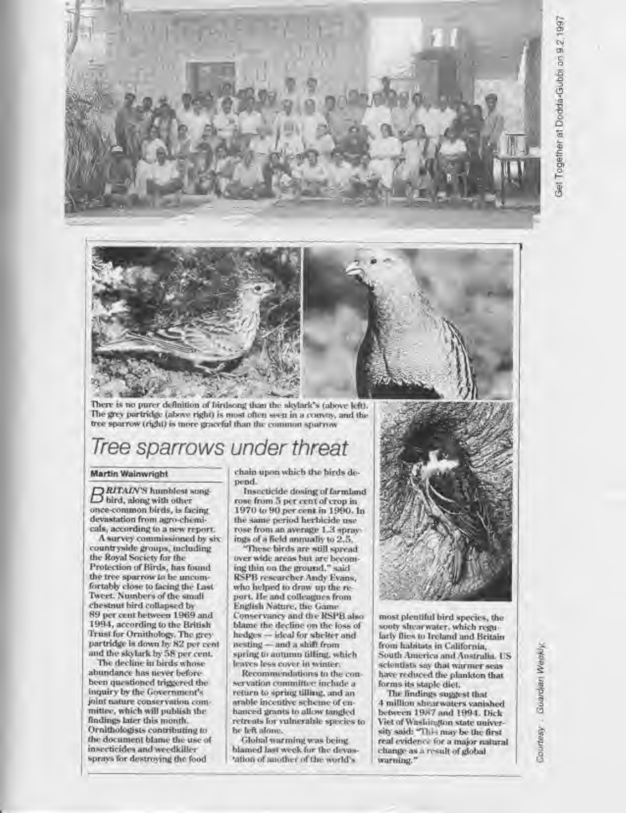

There is no purer definition of birdsong than the skylark's (above left). The grey purtridge (above right) is most often seen in a convoy, and the tree sparrow (right) is more graceful than the common sparrow

# Tree sparrows under threat

#### Martin Walnwrigh!

RITAIN'S humblest song- $\Box$  bird, along with other once-common birds, is facing devastation from agro-chemlcals, according to a new report.

A survey commissioned by six countryside groups, including the Royal Society for the Protection of Birds, has found the tree sparrow to be uncomfortably close to facing the Last Tweet. Numbers of the small chestnut bird collapsed by 89 pet ceni between <sup>1</sup> 969 and 1994. according to the British Trust for Ornithology. The grey partridge is down by 82 per cent and the skylark by 58 per cent.

The decline in birds whose abundance has never beforebeen questioned triggered the inquiry by the Government's joint nature conservation committee, which will publish the findings later this month. Ornithologists contributing to the document blame the use of insecticides and weedkiller sprays for destroying the food

chain upon which the birds depend.

Insecticide dosing of farmland rose from 5 per cen<sup>i</sup> of crop in 1970 to 90 per cent in 1990. In the same period herbicide use rose from an average 1.3 sprayings ofa field annually lo 2.5.

These birds are still spread over wide areas but are becoming thin on the ground," said RSPB researcher Andy Evans, who helped to draw up the report. He and colleagues from English Nature, the Game Conservancy and the KSt'B also blame the decline on the loss of hedges — ideal for shelter and nesting - and a shift from spring to autumn tilling, which leaves less cover In winter.

Recommendations to the conservation committee include a return to spring tilling, and in arable Incentive scheme of enhanced grants lo allinv tangled retreats for vulnerable species to be left alone.

Global warming was being. blamed last week for the devas 'ation of another of the world's



most plentiful bird species, the sooty shearwater, which regularly flies to Ireland and Britain from habitats in California, South America and Australia. US scientists say that warmer seas have reduced the plankton that forms its staple diet.

The findings suggest thai 4 million shearwaters vanished between 1987 and 1994. Dick Viet of Washington state university said: "This may be the first real evidence for a mafor natural change as a result of global warning."